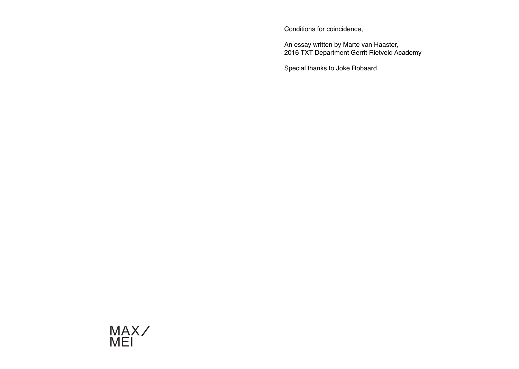Conditions for coincidence,

An essay written by Marte van Haaster, 2016 TXT Department Gerrit Rietveld Academy

Special thanks to Joke Robaard.

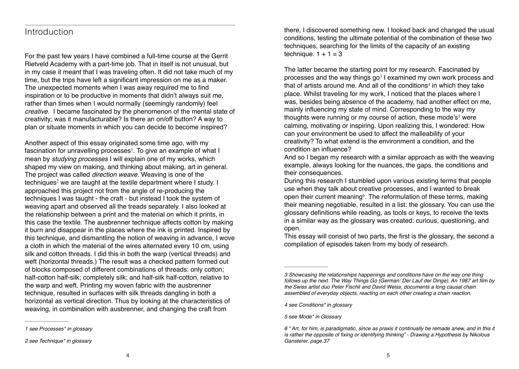## Introduction

For the past few years I have combined a full-time course at the Gerrit Rietveld Academy with a part-time job. That in itself is not unusual, but in my case it meant that I was traveling often. It did not take much of my time, but the trips have left a significant impression on me as a maker. The unexpected moments when I was away required me to find inspiration or to be productive in moments that didn't always suit me, rather than times when I would normally (seemingly randomly) feel *creative.* I became fascinated by the phenomenon of the mental state of creativity; was it manufacturable? Is there an on/off button? A way to plan or situate moments in which you can decide to become inspired?

Another aspect of this essay originated some time ago, with my fascination for unravelling processes<sup>1</sup>. To give an example of what I mean by *studying processes* I will explain one of my works, which shaped my view on making, and thinking about making, art in general. The project was called *direction weave.* Weaving is one of the techniques<sup>2</sup> we are taught at the textile department where  $I$  study.  $I$ approached this project not from the angle of re-producing the techniques I was taught - the craft - but instead I took the system of weaving apart and observed all the treads separately. I also looked at the relationship between a print and the material on which it prints, in this case the textile. The ausbrenner technique affects cotton by making it burn and disappear in the places where the ink is printed. Inspired by this technique, and dismantling the notion of weaving in advance, I wove a cloth in which the material of the wires alternated every 10 cm, using silk and cotton threads. I did this in both the warp (vertical threads) and weft (horizontal threads.) The result was a checked pattern formed out of blocks composed of different combinations of threads: only cotton; half-cotton half-silk; completely silk; and half-silk half-cotton, relative to the warp and weft. Printing my woven fabric with the ausbrenner technique, resulted in surfaces with silk threads dangling in both a horizontal as vertical direction. Thus by looking at the characteristics of weaving, in combination with ausbrenner, and changing the craft from

*1 see Processes\* in glossary* 

there, I discovered something new. I looked back and changed the usual conditions, testing the ultimate potential of the combination of these two techniques, searching for the limits of the capacity of an existing technique.  $1 + 1 = 3$ 

The latter became the starting point for my research. Fascinated by processes and the way things  $qo<sup>3</sup>$  I examined my own work process and that of artists around me. And all of the conditions<sup>4</sup> in which they take place. Whilst traveling for my work, I noticed that the places where I was, besides being absence of the academy, had another effect on me, mainly influencing my state of mind. Corresponding to the way my thoughts were running or my course of action, these mode's<sup>5</sup> were calming, motivating or inspiring. Upon realizing this, I wondered: How can your environment be used to affect the malleability of your creativity? To what extend is the environment a condition, and the condition an influence?

And so I began my research with a similar approach as with the weaving example, always looking for the nuances, the gaps, the conditions and their consequences.

During this research I stumbled upon various existing terms that people use when they talk about creative processes, and I wanted to break open their current meaning<sup> $6$ </sup>. The reformulation of these terms, making their meaning negotiable, resulted in a list: the glossary. You can use the glossary definitions while reading, as tools or keys, to receive the texts in a similar way as the glossary was created: curious, questioning, and open.

This essay will consist of two parts, the first is the glossary, the second a compilation of episodes taken from my body of research.

*4 see Conditions\* in glossary*

*5 see Mode\* in Glossary* 

*<sup>2</sup> see Technique\* in glossary* 

*<sup>3</sup> Showcasing the relationships happenings and conditions have on the way one thing*  follows up the next. The Way Things Go (German: Der Lauf der Dinge). An 1987 art film by *the Swiss artist duo Peter Fischli and David Weiss, documents a long causal chain*  assembled of everyday objects, reacting on each other creating a chain reaction.

*<sup>6</sup>* " Art, for him, is paradigmatic, since as praxis it continually be remade anew, and in this it is rather the opposite of fixing or identifying thinking" - Drawing a Hypothesis by Nikolous *Gansterer. page.37*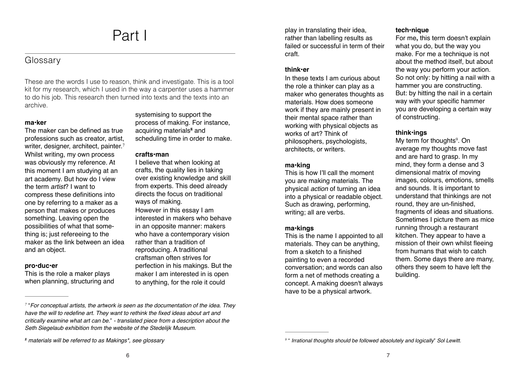## Part I

### Glossary

These are the words I use to reason, think and investigate. This is a tool kit for my research, which I used in the way a carpenter uses a hammer to do his job. This research then turned into texts and the texts into an archive.

#### **ma•ker**

The maker can be defined as true professions such as creator, artist, writer, designer, architect, painter.<sup>7</sup> Whilst writing, my own process was obviously my reference. At this moment I am studying at an art academy. But how do I view the term *artist*? I want to compress these definitions into one by referring to a maker as a person that makes or produces something. Leaving open the possibilities of what that something is; just refereeing to the maker as the link between an idea and an object.

#### **pro•duc•er**

This is the role a maker plays when planning, structuring and

systemising to support the process of making. For instance, acquiring materials<sup>8</sup> and scheduling time in order to make.

#### **crafts•man**

I believe that when looking at crafts, the quality lies in taking over existing knowledge and skill from experts. This deed already directs the focus on traditional ways of making.

However in this essay I am interested in makers who behave in an opposite manner: makers who have a contemporary vision rather than a tradition of reproducing. A traditional craftsman often strives for perfection in his makings. But the maker I am interested in is open to anything, for the role it could

play in translating their idea, rather than labelling results as failed or successful in term of their craft.

#### **think•er**

In these texts I am curious about the role a thinker can play as a maker who generates thoughts as materials. How does someone work if they are mainly present in their mental space rather than working with physical objects as works of art? Think of philosophers, psychologists, architects, or writers.

#### **ma•king**

This is how I'll call the moment you are making materials. The physical *action* of turning an idea into a physical or readable object. Such as drawing, performing, writing; all are verbs.

#### **ma•kings**

This is the name I appointed to all materials. They can be anything, from a sketch to a finished painting to even a recorded conversation; and words can also form a net of methods creating a concept. A making doesn't always have to be a physical artwork.

#### **tech•nique**

For me**,** this term doesn't explain what you do, but the way you make. For me a technique is not about the method itself, but about the way you perform your action. So not only: by hitting a nail with a hammer you are constructing. But: by hitting the nail in a certain way with your specific hammer you are developing a certain way of constructing.

#### **think•ings**

My term for thoughts $9$ . On average my thoughts move fast and are hard to grasp. In my mind, they form a dense and 3 dimensional matrix of moving images, colours, emotions, smells and sounds. It is important to understand that thinkings are not round, they are un-finished, fragments of ideas and situations. Sometimes I picture them as mice running through a restaurant kitchen. They appear to have a mission of their own whilst fleeing from humans that wish to catch them. Some days there are many, others they seem to have left the building.

 <sup>&</sup>quot;*For conceptual artists, the artwork is seen as the documentation of the idea. They <sup>7</sup>* have the will to redefine art. They want to rethink the fixed ideas about art and critically examine what art can be." - translated piece from a description about the Seth Siegelaub exhibition from the website of the Stedelijk Museum.

materials will be referred to as Makings\*, see glossary *<sup>8</sup>*

 <sup>&</sup>quot; *Irrational thoughts should be followed absolutely and logically*" *Sol Lewitt. <sup>9</sup>*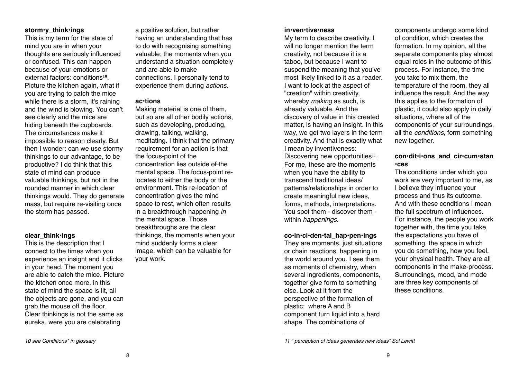#### **storm•y\_think•ings**

This is my term for the state of mind you are in when your thoughts are seriously influenced or confused. This can happen because of your emotions or external factors: conditions<sup>10</sup>. Picture the kitchen again, what if you are trying to catch the mice while there is a storm, it's raining and the wind is blowing. You can't see clearly and the mice are hiding beneath the cupboards. The circumstances make it impossible to reason clearly. But then I wonder: can we use stormy thinkings to our advantage, to be productive? I do think that this state of mind can produce valuable thinkings, but not in the rounded manner in which clear thinkings would. They do generate mass, but require re-visiting once the storm has passed.

#### **clear\_think•ings**

This is the description that I connect to the times when you experience an insight and it clicks in your head. The moment you are able to catch the mice. Picture the kitchen once more, in this state of mind the space is lit, all the objects are gone, and you can grab the mouse off the floor. Clear thinkings is not the same as eureka, were you are celebrating

a positive solution, but rather having an understanding that has to do with recognising something valuable; the moments when you understand a situation completely and are able to make connections. I personally tend to experience them during *actions.* 

#### **ac•tions**

Making material is one of them, but so are all other bodily actions, such as developing, producing, drawing, talking, walking, meditating. I think that the primary requirement for an action is that the focus-point of the concentration lies outside of the mental space. The focus-point relocates to either the body or the environment. This re-location of concentration gives the mind space to rest, which often results in a breakthrough happening *in*  the mental space. Those breakthroughs are the clear thinkings, the moments when your mind suddenly forms a clear image, which can be valuable for your work.

#### **in•ven•tive•ness**

My term to describe creativity. I will no longer mention the term creativity, not because it is a taboo, but because I want to suspend the meaning that you've most likely linked to it as a reader. I want to look at the aspect of "creation" within creativity, whereby *making* as such, is already valuable. And the discovery of value in this created matter, is having an insight. In this way, we get two layers in the term creativity. And that is exactly what I mean by inventiveness: Discovering new opportunities $11$ . For me, these are the moments when you have the ability to transcend traditional ideas/ patterns/relationships in order to

create meaningful new ideas, forms, methods, interpretations. You spot them - discover them within *happenings.* 

#### **co•in•ci•den•tal\_hap•pen•ings**

They are moments, just situations or chain reactions, happening in the world around you. I see them as moments of chemistry, when several ingredients, components, together give form to something else. Look at it from the perspective of the formation of plastic: where A and B component turn liquid into a hard shape. The combinations of

components undergo some kind of condition, which creates the formation. In my opinion, all the separate components play almost equal roles in the outcome of this process. For instance, the time you take to mix them, the temperature of the room, they all influence the result. And the way this applies to the formation of plastic, it could also apply in daily situations, where all of the components of your surroundings, all the *conditions*, form something new together.

### **con•dit•i•ons\_and\_cir•cum•stan •ces**

The conditions under which you work are very important to me, as I believe they influence your process and thus its outcome. And with these conditions I mean the full spectrum of influences. For instance, the people you work together with, the time you take, the expectations you have of something, the space in which you do something, how you feel, your physical health. They are all components in the make-process. Surroundings, mood, and mode are three key components of these conditions.

*<sup>10</sup> see Conditions\* in glossary*

*<sup>11 &</sup>quot; perception of ideas generates new ideas" Sol Lewitt*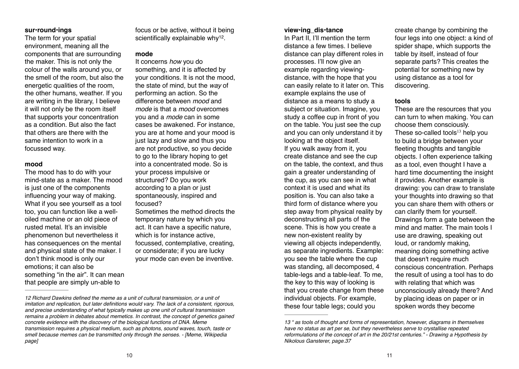#### **sur•round•ings**

The term for your spatial environment, meaning all the components that are surrounding the maker. This is not only the colour of the walls around you, or the smell of the room, but also the energetic qualities of the room, the other humans, weather. If you are writing in the library, I believe it will not only be the room itself that supports your concentration as a condition. But also the fact that others are there with the same intention to work in a focussed way.

#### **mood**

The mood has to do with your mind-state as a maker. The mood is just one of the components influencing your way of making. What if you see yourself as a tool too, you can function like a welloiled machine or an old piece of rusted metal. It's an invisible phenomenon but nevertheless it has consequences on the mental and physical state of the maker. I don't think mood is only our emotions; it can also be something "in the air". It can mean that people are simply un-able to

focus or be active, without it being scientifically explainable why $12$ .

#### **mode**

It concerns *how* you do something, and it is affected by your conditions. It is not the mood, the state of mind, but the *way* of performing an action. So the difference between *mood* and *mode* is that a *mood* overcomes you and a *mode* can in some cases be awakened. For instance, you are at home and your mood is just lazy and slow and thus you are not productive, so you decide to go to the library hoping to get into a concentrated mode. So is your process impulsive or structured? Do you work according to a plan or just spontaneously, inspired and focused?

Sometimes the method directs the temporary nature by which you act. It can have a specific nature, which is for instance active. focussed, contemplative, creating, or considerate; if you are lucky your mode can even be inventive.

#### **view•ing\_dis•tance**

In Part II, I'll mention the term distance a few times. I believe distance can play different roles in processes. I'll now give an example regarding viewingdistance, with the hope that you can easily relate to it later on. This example explains the use of distance as a means to study a subject or situation. Imagine, you study a coffee cup in front of you on the table. You just see the cup and you can only understand it by looking at the object itself. If you walk away from it, you create distance and see the cup on the table, the context, and thus gain a greater understanding of the cup, as you can see in what context it is used and what its position is. You can also take a third form of distance where you step away from physical reality by deconstructing all parts of the scene. This is how you create a new non-existent reality by viewing all objects independently, as separate ingredients. Example: you see the table where the cup was standing, all decomposed, 4 table-legs and a table-leaf. To me, the key to this way of looking is that you create change from these individual objects. For example, these four table legs; could you

create change by combining the four legs into one object: a kind of spider shape, which supports the table by itself, instead of four separate parts? This creates the potential for something new by using distance as a tool for discovering.

#### **tools**

These are the resources that you can turn to when making. You can choose them consciously. These so-called tools $13$  help you to build a bridge between your fleeting thoughts and tangible objects. I often experience talking as a tool, even thought I have a hard time documenting the insight it provides. Another example is drawing: you can draw to translate your thoughts into drawing so that you can share them with others or can clarify them for yourself. Drawings form a gate between the mind and matter. The main tools I use are drawing, speaking out loud, or randomly making, meaning doing something active that doesn't require much conscious concentration. Perhaps the result of using a tool has to do with relating that which was unconsciously already there? And by placing ideas on paper or in spoken words they become

*<sup>12</sup>* Richard Dawkins defined the meme as a unit of cultural transmission, or a unit of imitation and replication, but later definitions would vary. The lack of a consistent, rigorous, and precise understanding of what typically makes up one unit of cultural transmission remains a problem in debates about memetics. In contrast, the concept of genetics gained concrete evidence with the discovery of the biological functions of DNA. Meme transmission requires a physical medium, such as photons, sound waves, touch, taste or smell because memes can be transmitted only through the senses. - [Meme, Wikipedia page]

*<sup>13 &</sup>quot; as tools of thought and forms of representation, however, diagrams in themselves have no status as art per se, but they nevertheless serve to crystallise repeated reformulations of the concept of art in the 20/21st centuries." - Drawing a Hypothesis by Nikolous Gansterer, page.37*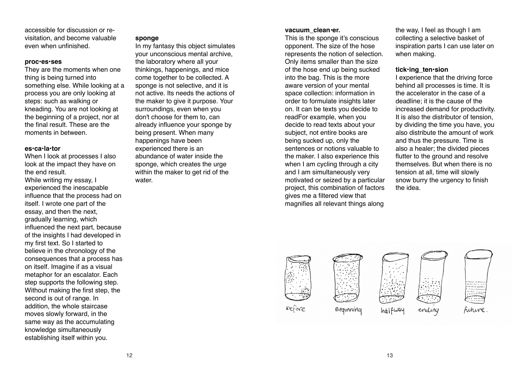accessible for discussion or revisitation, and become valuable even when unfinished.

#### **proc•es•ses**

They are the moments when one thing is being turned into something else. While looking at a process you are only looking at steps: such as walking or kneading. You are not looking at the beginning of a project, nor at the final result. These are the moments in between.

#### **es•ca•la•tor**

When I look at processes I also look at the impact they have on the end result. While writing my essay, I

experienced the inescapable influence that the process had on itself. I wrote one part of the essay, and then the next, gradually learning, which influenced the next part, because of the insights I had developed in my first text. So I started to believe in the chronology of the consequences that a process has on itself. Imagine if as a visual metaphor for an escalator. Each step supports the following step. Without making the first step, the second is out of range. In addition, the whole staircase moves slowly forward, in the same way as the accumulating knowledge simultaneously establishing itself within you.

#### **sponge**

In my fantasy this object simulates your unconscious mental archive, the laboratory where all your thinkings, happenings, and mice come together to be collected. A sponge is not selective, and it is not active. Its needs the actions of the maker to give it purpose. Your surroundings, even when you don't choose for them to, can already influence your sponge by being present. When many happenings have been experienced there is an abundance of water inside the sponge, which creates the urge within the maker to get rid of the water.

#### **vacuum\_clean***•***er.**

This is the sponge it's conscious opponent. The size of the hose represents the notion of selection. Only items smaller than the size of the hose end up being sucked into the bag. This is the more aware version of your mental space collection: information in order to formulate insights later on. It can be texts you decide to readFor example, when you decide to read texts about your subject, not entire books are being sucked up, only the sentences or notions valuable to the maker. I also experience this when I am cycling through a city and I am simultaneously very motivated or seized by a particular project, this combination of factors gives me a filtered view that magnifies all relevant things along

the way, I feel as though I am collecting a selective basket of inspiration parts I can use later on when making.

#### **tick•ing\_ten•sion**

I experience that the driving force behind all processes is time. It is the accelerator in the case of a deadline; it is the cause of the increased demand for productivity. It is also the distributor of tension, by dividing the time you have, you also distribute the amount of work and thus the pressure. Time is also a healer; the divided pieces flutter to the ground and resolve themselves. But when there is no tension at all, time will slowly snow burry the urgency to finish the idea.

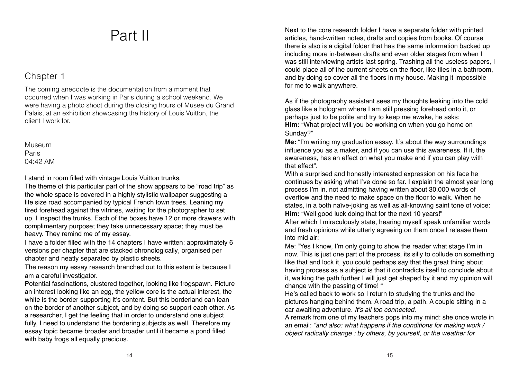# Part II

## Chapter 1

The coming anecdote is the documentation from a moment that occurred when I was working in Paris during a school weekend. We were having a photo shoot during the closing hours of Musee du Grand Palais, at an exhibition showcasing the history of Louis Vuitton, the client I work for.

Museum Paris  $04.42$  AM

I stand in room filled with vintage Louis Vuitton trunks.

The theme of this particular part of the show appears to be "road trip" as the whole space is covered in a highly stylistic wallpaper suggesting a life size road accompanied by typical French town trees. Leaning my tired forehead against the vitrines, waiting for the photographer to set up, I inspect the trunks. Each of the boxes have 12 or more drawers with complimentary purpose; they take unnecessary space; they must be heavy. They remind me of my essay.

I have a folder filled with the 14 chapters I have written; approximately 6 versions per chapter that are stacked chronologically*,* organised per chapter and neatly separated by plastic sheets.

The reason my essay research branched out to this extent is because I am a careful investigator.

Potential fascinations, clustered together, looking like frogspawn. Picture an interest looking like an egg, the yellow core is the actual interest, the white is the border supporting it's content. But this borderland can lean on the border of another subject, and by doing so support each other. As a researcher, I get the feeling that in order to understand one subject fully, I need to understand the bordering subjects as well. Therefore my essay topic became broader and broader until it became a pond filled with baby frogs all equally precious.

Next to the core research folder I have a separate folder with printed articles, hand-written notes, drafts and copies from books. Of course there is also is a digital folder that has the same information backed up including more in-between drafts and even older stages from when I was still interviewing artists last spring. Trashing all the useless papers, I could place all of the current sheets on the floor, like tiles in a bathroom, and by doing so cover all the floors in my house. Making it impossible for me to walk anywhere.

As if the photography assistant sees my thoughts leaking into the cold glass like a hologram where I am still pressing forehead onto it, or perhaps just to be polite and try to keep me awake, he asks: **Him:** "What project will you be working on when you go home on Sunday?"

**Me:** "I'm writing my graduation essay. It's about the way surroundings influence you as a maker, and if you can use this awareness. If it, the awareness, has an effect on what you make and if you can play with that effect".

With a surprised and honestly interested expression on his face he continues by asking what I've done so far. I explain the almost year long process I'm in, not admitting having written about 30.000 words of overflow and the need to make space on the floor to walk. When he states, in a both naïve-joking as well as all-knowing saint tone of voice: **Him:** "Well good luck doing that for the next 10 years!"

After which I miraculously state, hearing myself speak unfamiliar words and fresh opinions while utterly agreeing on them once I release them into mid air:

Me: "Yes I know, I'm only going to show the reader what stage I'm in now. This is just one part of the process, its silly to collude on something like that and lock it, you could perhaps say that the great thing about having process as a subject is that it contradicts itself to conclude about it, walking the path further I will just get shaped by it and my opinion will change with the passing of time! "

He's called back to work so I return to studying the trunks and the pictures hanging behind them. A road trip, a path. A couple sitting in a car awaiting adventure. *It's all too connected.*

A remark from one of my teachers pops into my mind: she once wrote in an email: *"and also: what happens if the conditions for making work / object radically change : by others, by yourself, or the weather for*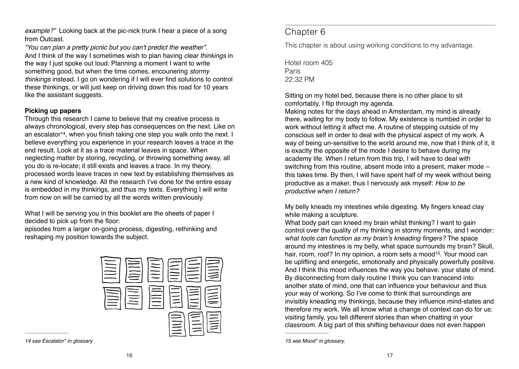*example?"* Looking back at the pic-nick trunk I hear a piece of a song from Outcast.

*"You can plan a pretty picnic but you can't predict the weather"*. And I think of the way I sometimes wish to plan having *clear thinkings* in the way I just spoke out loud. Planning a moment I want to write something good, but when the time comes, encounering *stormy thinkings* instead. I go on wondering if I will ever find solutions to control these thinkings, or will just keep on driving down this road for 10 years like the assistant suggests.

#### **Picking up papers**

Through this research I came to believe that my creative process is always chronological, every step has consequences on the next. Like on an escalator<sup>14</sup>, when you finish taking one step you walk onto the next. I believe everything you experience in your research leaves a trace in the end result. Look at it as a trace material leaves in space. When neglecting matter by storing, recycling, or throwing something away, all you do is re-locate; it still exists and leaves a trace. In my theory, processed words leave traces in new text by establishing themselves as a new kind of knowledge. All the research I've done for the entire essay is embedded in my thinkings, and thus my texts. Everything I will write from now on will be carried by all the words written previously.

What I will be serving you in this booklet are the sheets of paper I decided to pick up from the floor:

episodes from a larger on-going process, digesting, rethinking and reshaping my position towards the subject.



*14 see Escalator\* in glossary*

## Chapter 6

This chapter is about using working conditions to my advantage.

Hotel room 405 Paris 22:32 PM

Sitting on my hotel bed, because there is no other place to sit comfortably, I flip through my agenda.

Making notes for the days ahead in Amsterdam, my mind is already there, waiting for my body to follow. My existence is numbed in order to work without letting it affect me. A routine of stepping outside of my conscious self in order to deal with the physical aspect of my work. A way of being un-sensitive to the world around me, now that I think of it, it is exactly the opposite of the mode I desire to behave during my academy life. When I return from this trip, I will have to deal with switching from this routine, absent mode into a present, maker mode – this takes time. By then, I will have spent half of my week without being productive as a maker, thus I nervously ask myself: *How to be productive when I return?* 

My belly kneads my intestines while digesting. My fingers knead clay while making a sculpture.

What body part can kneed my brain whilst thinking? I want to gain control over the quality of my thinking in stormy moments, and I wonder: what tools can function as my brain's kneading fingers? The space around my intestines is my belly, what space surrounds my brain? Skull, hair, room, roof? In my opinion, a room sets a mood<sup>15</sup>. Your mood can be uplifting and energetic, emotionally and physically powerfully positive. And I think this mood influences the way you behave: your state of mind. By disconnecting from daily routine I think you can transcend into another state of mind, one that can influence your behaviour and thus your way of working. So I've come to think that surroundings are invisibly kneading my thinkings, because they influence mind-states and therefore my work. We all know what a change of context can do for us: visiting family, you tell different stories than when chatting in your classroom. A big part of this shifting behaviour does not even happen

*<sup>15</sup> see Mood\* in glossary.*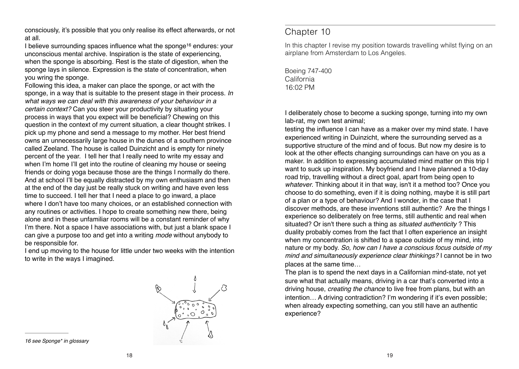consciously, it's possible that you only realise its effect afterwards, or not at all.

I believe surrounding spaces influence what the sponge<sup>16</sup> endures: your unconscious mental archive. Inspiration is the state of experiencing, when the sponge is absorbing. Rest is the state of digestion, when the sponge lays in silence. Expression is the state of concentration, when you wring the sponge.

Following this idea, a maker can place the sponge, or act with the sponge, in a way that is suitable to the present stage in their process. *In what ways we can deal with this awareness of your behaviour in a certain context?* Can you steer your productivity by situating your process in ways that you expect will be beneficial? Chewing on this question in the context of my current situation, a clear thought strikes. I pick up my phone and send a message to my mother. Her best friend owns an unnecessarily large house in the dunes of a southern province called Zeeland. The house is called Duinzicht and is empty for ninety percent of the year. I tell her that I really need to write my essay and when I'm home I'll get into the routine of cleaning my house or seeing friends or doing yoga because those are the things I normally do there. And at school I'll be equally distracted by my own enthusiasm and then at the end of the day just be really stuck on writing and have even less time to succeed. I tell her that I need a place to go inward, a place where I don't have too many choices, or an established connection with any routines or activities. I hope to create something new there, being alone and in these unfamiliar rooms will be a constant reminder of why I'm there. Not a space I have associations with, but just a blank space I can give a purpose too and get into a writing *mode* without anybody to be responsible for.

I end up moving to the house for little under two weeks with the intention to write in the ways I imagined.



*16 see Sponge\* in glossary* 

## Chapter 10

In this chapter I revise my position towards travelling whilst flying on an airplane from Amsterdam to Los Angeles.

Boeing 747-400 California 16:02 PM

I deliberately chose to become a sucking sponge, turning into my own lab-rat, my own test animal;

testing the influence I can have as a maker over my mind state. I have experienced writing in Duinzicht, where the surrounding served as a supportive structure of the mind and of focus. But now my desire is to look at the other effects changing surroundings can have on you as a maker. In addition to expressing accumulated mind matter on this trip I want to suck up inspiration. My boyfriend and I have planned a 10-day road trip, travelling without a direct goal, apart from being open to *whatever*. Thinking about it in that way, isn't it a method too? Once you choose to do something, even if it is doing nothing, maybe it is still part of a plan or a type of behaviour? And I wonder, in the case that I discover methods, are these inventions still authentic? Are the things I experience so deliberately on free terms, still authentic and real when situated? Or isn't there such a thing as *situated authenticity* ? This duality probably comes from the fact that I often experience an insight when my concentration is shifted to a space outside of my mind, into nature or my body. *So, how can I have a conscious focus outside of my mind and simultaneously experience clear thinkings?* I cannot be in two places at the same time…

The plan is to spend the next days in a Californian mind-state, not yet sure what that actually means, driving in a car that's converted into a driving house, *creating the chance* to live free from plans, but with an intention… A driving contradiction? I'm wondering if it's even possible; when already expecting something, can you still have an authentic experience?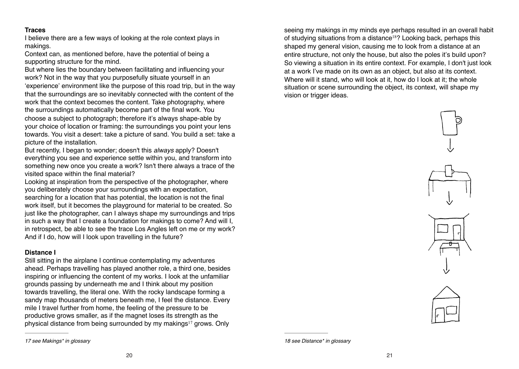#### **Traces**

I believe there are a few ways of looking at the role context plays in makings.

Context can, as mentioned before, have the potential of being a supporting structure for the mind.

But where lies the boundary between facilitating and influencing your work? Not in the way that you purposefully situate yourself in an 'experience' environment like the purpose of this road trip, but in the way that the surroundings are so inevitably connected with the content of the work that the context becomes the content. Take photography, where the surroundings automatically become part of the final work. You choose a subject to photograph; therefore it's always shape-able by your choice of location or framing: the surroundings you point your lens towards. You visit a desert: take a picture of sand. You build a set: take a picture of the installation.

But recently, I began to wonder; doesn't this *always* apply? Doesn't everything you see and experience settle within you, and transform into something new once you create a work? Isn't there always a trace of the visited space within the final material?

Looking at inspiration from the perspective of the photographer, where you deliberately choose your surroundings with an expectation,

searching for a location that has potential, the location is not the final work itself, but it becomes the playground for material to be created. So just like the photographer, can I always shape my surroundings and trips in such a way that I create a foundation for makings to come? And will I, in retrospect, be able to see the trace Los Angles left on me or my work? And if I do, how will I look upon travelling in the future?

#### **Distance I**

Still sitting in the airplane I continue contemplating my adventures ahead. Perhaps travelling has played another role, a third one, besides inspiring or influencing the content of my works. I look at the unfamiliar grounds passing by underneath me and I think about my position towards travelling, the literal one. With the rocky landscape forming a sandy map thousands of meters beneath me, I feel the distance. Every mile I travel further from home, the feeling of the pressure to be productive grows smaller, as if the magnet loses its strength as the physical distance from being surrounded by my makings $17$  grows. Only

*17 see Makings\* in glossary*

seeing my makings in my minds eye perhaps resulted in an overall habit of studying situations from a distance<sup>18</sup>? Looking back, perhaps this shaped my general vision, causing me to look from a distance at an entire structure, not only the house, but also the poles it's build upon? So viewing a situation in its entire context. For example, I don't just look at a work I've made on its own as an object, but also at its context. Where will it stand, who will look at it, how do I look at it; the whole situation or scene surrounding the object, its context, will shape my vision or trigger ideas.





*<sup>18</sup> see Distance\* in glossary*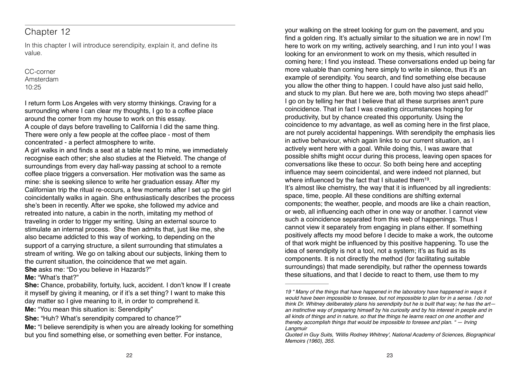## Chapter 12

In this chapter I will introduce serendipity, explain it, and define its value.

CC-corner Amsterdam  $10.25$ 

I return form Los Angeles with very stormy thinkings. Craving for a surrounding where I can clear my thoughts, I go to a coffee place around the corner from my house to work on this essay. A couple of days before travelling to California I did the same thing. There were only a few people at the coffee place - most of them concentrated - a perfect atmosphere to write.

A girl walks in and finds a seat at a table next to mine, we immediately recognise each other; she also studies at the Rietveld. The change of surroundings from every day hall-way passing at school to a remote coffee place triggers a conversation. Her motivation was the same as mine: she is seeking silence to write her graduation essay. After my Californian trip the ritual re-occurs, a few moments after I set up the girl coincidentally walks in again. She enthusiastically describes the process she's been in recently. After we spoke, she followed my advice and retreated into nature, a cabin in the north, imitating my method of traveling in order to trigger my writing. Using an external source to stimulate an internal process. She then admits that, just like me, she also became addicted to this way of working, to depending on the support of a carrying structure, a silent surrounding that stimulates a stream of writing. We go on talking about our subjects, linking them to the current situation, the coincidence that we met again. **She** asks me: "Do you believe in Hazards?"

**Me:** "What's that?"

**She:** Chance, probability, fortuity, luck, accident. I don't know If I create it myself by giving it meaning, or if it's a set thing? I want to make this day matter so I give meaning to it, in order to comprehend it.

**Me:** "You mean this situation is: Serendipity"

**She:** "Huh? What's serendipity compared to chance?"

**Me:** "I believe serendipity is when you are already looking for something but you find something else, or something even better. For instance,

your walking on the street looking for gum on the pavement, and you find a golden ring. It's actually similar to the situation we are in now! I'm here to work on my writing, actively searching, and I run into you! I was looking for an environment to work on my thesis, which resulted in coming here; I find you instead. These conversations ended up being far more valuable than coming here simply to write in silence, thus it's an example of serendipity. You search, and find something else because you allow the other thing to happen. I could have also just said hello, and stuck to my plan. But here we are, both moving two steps ahead!" I go on by telling her that I believe that all these surprises aren't pure coincidence. That in fact I was creating circumstances hoping for productivity, but by chance created this opportunity. Using the coincidence to my advantage, as well as coming here in the first place, are not purely accidental happenings. With serendipity the emphasis lies in active behaviour, which again links to our current situation, as I actively went here with a goal. While doing this, I was aware that possible shifts might occur during this process, leaving open spaces for conversations like these to occur. So both being here and accepting influence may seem coincidental, and were indeed not planned, but where influenced by the fact that I situated them  $19$ . It's almost like chemistry, the way that it is influenced by all ingredients: space, time, people. All these conditions are shifting external components; the weather, people, and moods are like a chain reaction, or web, all influencing each other in one way or another. I cannot view such a coincidence separated from this web of happenings. Thus I cannot view it separately from engaging in plans either. If something positively affects my mood before I decide to make a work, the outcome of that work might be influenced by this positive happening. To use the idea of serendipity is not a tool, not a system; it's as fluid as its components. It is not directly the method (for facilitating suitable surroundings) that made serendipity, but rather the openness towards these situations, and that I decide to react to them, use them to my

*<sup>19 &</sup>quot; Many of the things that have happened in the laboratory have happened in ways it would have been impossible to foresee, but not impossible to plan for in a sense. I do not think Dr. Whitney deliberately plans his serendipity but he is built that way; he has the art an instinctive way of preparing himself by his curiosity and by his interest in people and in all kinds of things and in nature, so that the things he learns react on one another and thereby accomplish things that would be impossible to foresee and plan. " — Irving Langmuir*

*Quoted in Guy Suits, 'Willis Rodney Whitney', National Academy of Sciences, Biographical Memoirs (1960), 355.*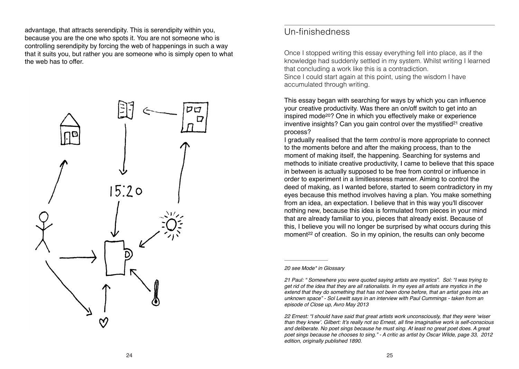advantage, that attracts serendipity. This is serendipity within you, because you are the one who spots it. You are not someone who is controlling serendipity by forcing the web of happenings in such a way that it suits you, but rather you are someone who is simply open to what the web has to offer.



## Un-finishedness

Once I stopped writing this essay everything fell into place, as if the knowledge had suddenly settled in my system. Whilst writing I learned that concluding a work like this is a contradiction. Since I could start again at this point, using the wisdom I have accumulated through writing.

This essay began with searching for ways by which you can influence your creative productivity. Was there an on/off switch to get into an inspired mode<sup>20</sup>? One in which you effectively make or experience inventive insights? Can you gain control over the mystified $21$  creative process?

I gradually realised that the term *control* is more appropriate to connect to the moments before and after the making process, than to the moment of making itself, the happening. Searching for systems and methods to initiate creative productivity, I came to believe that this space in between is actually supposed to be free from control or influence in order to experiment in a limitlessness manner. Aiming to control the deed of making, as I wanted before, started to seem contradictory in my eyes because this method involves having a plan. You make something from an idea, an expectation. I believe that in this way you'll discover nothing new, because this idea is formulated from pieces in your mind that are already familiar to you, pieces that already exist. Because of this, I believe you will no longer be surprised by what occurs during this moment<sup>22</sup> of creation. So in my opinion, the results can only become

*20 see Mode\* in Glossary* 

*<sup>21</sup> Paul: " Somewhere you were quoted saying artists are mystics". Sol: "I was trying to get rid of the idea that they are all rationalists. In my eyes all artists are mystics in the extend that they do something that has not been done before, that an artist goes into an unknown space" - Sol Lewitt says in an interview with Paul Cummings - taken from an episode of Close up, Avro May 2013* 

*<sup>22</sup> Ernest: "I should have said that great artists work unconsciously, that they were 'wiser*  than they knew'. Gilbert: It's really not so Ernest, all fine imaginative work is self-conscious *and deliberate. No poet sings because he must sing. At least no great poet does. A great poet sings because he chooses to sing." - A critic as artist by Oscar Wilde, page 33, 2012 edition, originally published 1890.*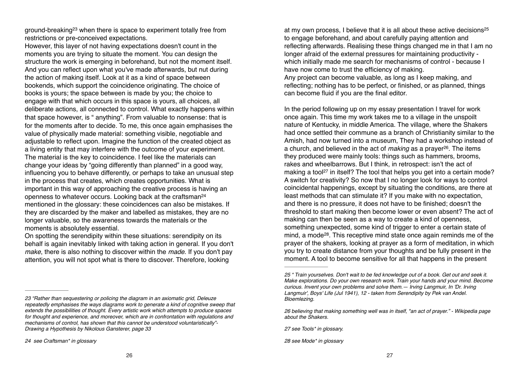ground-breaking<sup>23</sup> when there is space to experiment totally free from restrictions or pre-conceived expectations.

However, this layer of not having expectations doesn't count in the moments you are trying to situate the moment. You can design the structure the work is emerging in beforehand, but not the moment itself. And you can reflect upon what you've made afterwards, but nut during the action of making itself. Look at it as a kind of space between bookends, which support the coincidence originating. The choice of books is yours; the space between is made by you; the choice to engage with that which occurs in this space is yours, all choices, all deliberate actions, all connected to control. What exactly happens within that space however, is " anything". From valuable to nonsense: that is for the moments after to decide. To me, this once again emphasises the value of physically made material: something visible, negotiable and adjustable to reflect upon. Imagine the function of the created object as a living entity that may interfere with the outcome of your experiment. The material is the key to coincidence. I feel like the materials can change your ideas by "going differently than planned" in a good way, influencing you to behave differently, or perhaps to take an unusual step in the process that creates, which creates opportunities. What is important in this way of approaching the creative process is having an openness to whatever occurs. Looking back at the craftsman24 mentioned in the glossary: these coincidences can also be mistakes. If they are discarded by the maker and labelled as mistakes, they are no longer valuable, so the awareness towards the materials or the moments is absolutely essential.

On spotting the serendipity within these situations: serendipity on its behalf is again inevitably linked with taking action in general. If you don't *make*, there is also nothing to discover within the *made*. If you don't pay attention, you will not spot what is there to discover. Therefore, looking

at my own process, I believe that it is all about these active decisions25 to engage beforehand, and about carefully paying attention and reflecting afterwards. Realising these things changed me in that I am no longer afraid of the external pressures for maintaining productivity which initially made me search for mechanisms of control - because I have now come to trust the efficiency of making. Any project can become valuable, as long as I keep making, and reflecting; nothing has to be perfect, or finished, or as planned, things can become fluid if you are the final editor.

In the period following up on my essay presentation I travel for work once again. This time my work takes me to a village in the unspoilt nature of Kentucky, in middle America. The village, where the Shakers had once settled their commune as a branch of Christianity similar to the Amish, had now turned into a museum, They had a workshop instead of a church, and believed in the act of *making* as a prayer<sup>26</sup>. The items they produced were mainly tools: things such as hammers, brooms, rakes and wheelbarrows. But I think, in retrospect: isn't the act of making a tool<sup>27</sup> in itself? The tool that helps you get into a certain mode? A switch for creativity? So now that I no longer look for ways to control coincidental happenings, except by situating the conditions, are there at least methods that can stimulate it? If you make with no expectation, and there is no pressure, it does not have to be finished; doesn't the threshold to start making then become lower or even absent? The act of making can then be seen as a way to create a kind of openness, something unexpected, some kind of trigger to enter a certain state of mind, a mode<sup>28</sup>. This receptive mind state once again reminds me of the prayer of the shakers, looking at prayer as a form of meditation, in which you try to create distance from your thoughts and be fully present in the moment. A tool to become sensitive for all that happens in the present

*<sup>23 &</sup>quot;Rather than sequestering or policing the diagram in an axiomatic grid, Deleuze repeatedly emphasises the ways diagrams work to generate a kind of cognitive sweep that extends the possibilities of thought. Every artistic work which attempts to produce spaces for thought and experience, and moreover, which are in confrontation with regulations and mechanisms of control, has shown that this cannot be understood voluntaristically"- Drawing a Hypothesis by Nikolous Gansterer, page 33* 

*<sup>24</sup> see Craftsman\* in glossary* 

*<sup>25 &</sup>quot; Train yourselves. Don't wait to be fed knowledge out of a book. Get out and seek it. Make explorations. Do your own research work. Train your hands and your mind. Become curious. Invent your own problems and solve them.— Irving Langmuir, In 'Dr. Irving Langmuir', Boys' Life (Jul 1941), 12 - taken from Serendipity by Pek van Andel. Bloemlezing.* 

*<sup>26</sup> believing that making something well was in itself, "an act of prayer." - Wikipedia page about the Shakers.* 

*<sup>27</sup> see Tools\* in glossary.* 

*<sup>28</sup> see Mode\* in glossary*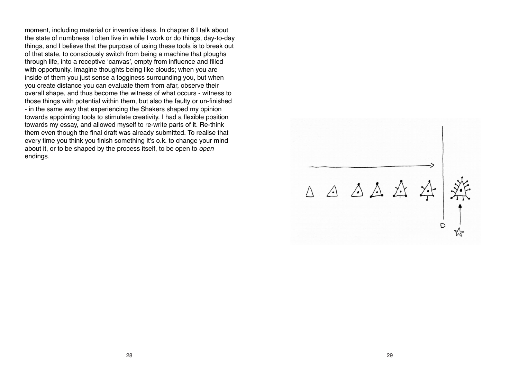moment, including material or inventive ideas. In chapter 6 I talk about the state of numbness I often live in while I work or do things, day-to-day things, and I believe that the purpose of using these tools is to break out of that state, to consciously switch from being a machine that ploughs through life, into a receptive 'canvas', empty from influence and filled with opportunity. Imagine thoughts being like clouds; when you are inside of them you just sense a fogginess surrounding you, but when you create distance you can evaluate them from afar, observe their overall shape, and thus become the witness of what occurs - witness to those things with potential within them, but also the faulty or un-finished - in the same way that experiencing the Shakers shaped my opinion towards appointing tools to stimulate creativity. I had a flexible position towards my essay, and allowed myself to re-write parts of it. Re-think them even though the final draft was already submitted. To realise that every time you think you finish something it's o.k. to change your mind about it, or to be shaped by the process itself, to be open to *open*  endings.